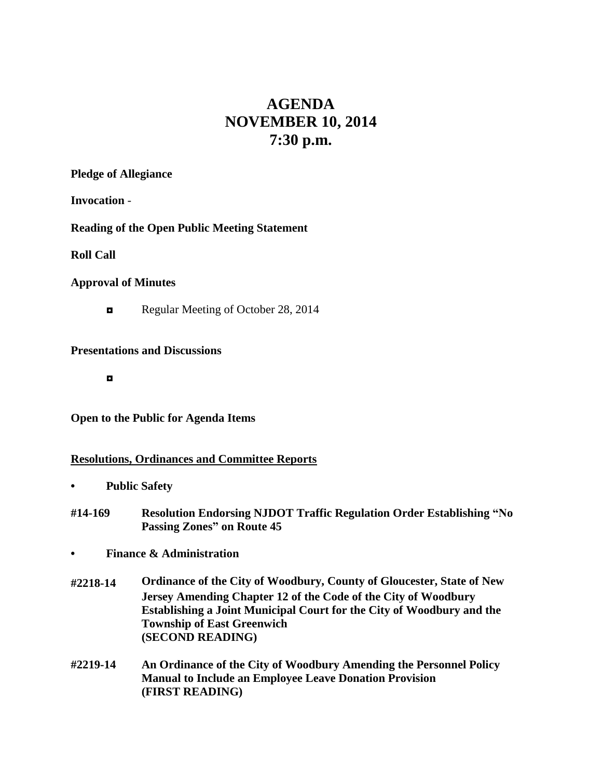# **AGENDA NOVEMBER 10, 2014 7:30 p.m.**

**Pledge of Allegiance**

**Invocation** -

#### **Reading of the Open Public Meeting Statement**

**Roll Call**

#### **Approval of Minutes**

Regular Meeting of October 28, 2014

#### **Presentations and Discussions**

**◘**

#### **Open to the Public for Agenda Items**

#### **Resolutions, Ordinances and Committee Reports**

- **• Public Safety**
- **#14-169 Resolution Endorsing NJDOT Traffic Regulation Order Establishing "No Passing Zones" on Route 45**
- **• Finance & Administration**
- **#2218-14 Ordinance of the City of Woodbury, County of Gloucester, State of New Jersey Amending Chapter 12 of the Code of the City of Woodbury Establishing a Joint Municipal Court for the City of Woodbury and the Township of East Greenwich (SECOND READING)**
- **#2219-14 An Ordinance of the City of Woodbury Amending the Personnel Policy Manual to Include an Employee Leave Donation Provision (FIRST READING)**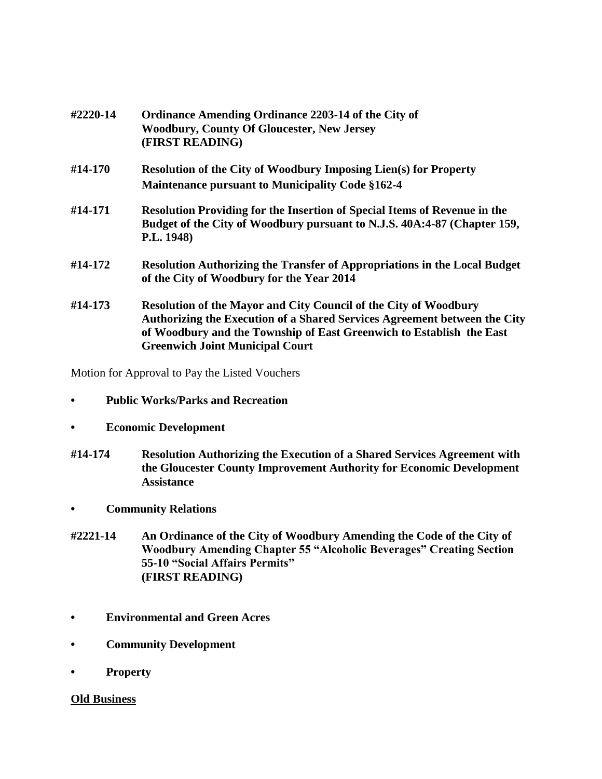| #2220-14 | Ordinance Amending Ordinance 2203-14 of the City of<br><b>Woodbury, County Of Gloucester, New Jersey</b><br>(FIRST READING)                                                                                                                                            |
|----------|------------------------------------------------------------------------------------------------------------------------------------------------------------------------------------------------------------------------------------------------------------------------|
| #14-170  | <b>Resolution of the City of Woodbury Imposing Lien(s) for Property</b>                                                                                                                                                                                                |
|          | <b>Maintenance pursuant to Municipality Code §162-4</b>                                                                                                                                                                                                                |
| #14-171  | Resolution Providing for the Insertion of Special Items of Revenue in the<br>Budget of the City of Woodbury pursuant to N.J.S. 40A:4-87 (Chapter 159,<br>P.L. 1948)                                                                                                    |
| #14-172  | <b>Resolution Authorizing the Transfer of Appropriations in the Local Budget</b><br>of the City of Woodbury for the Year 2014                                                                                                                                          |
| #14-173  | <b>Resolution of the Mayor and City Council of the City of Woodbury</b><br>Authorizing the Execution of a Shared Services Agreement between the City<br>of Woodbury and the Township of East Greenwich to Establish the East<br><b>Greenwich Joint Municipal Court</b> |

Motion for Approval to Pay the Listed Vouchers

- **• Public Works/Parks and Recreation**
- **• Economic Development**
- **#14-174 Resolution Authorizing the Execution of a Shared Services Agreement with the Gloucester County Improvement Authority for Economic Development Assistance**
- **• Community Relations**
- **#2221-14 An Ordinance of the City of Woodbury Amending the Code of the City of Woodbury Amending Chapter 55 "Alcoholic Beverages" Creating Section 55-10 "Social Affairs Permits" (FIRST READING)**
- **• Environmental and Green Acres**
- **• Community Development**
- **• Property**

#### **Old Business**